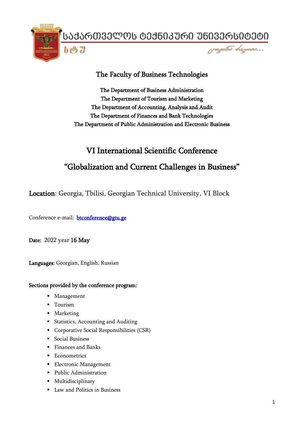ᲡᲐᲥᲐᲠᲗᲕᲔᲚᲝᲡ ᲢᲔᲥᲜᲘᲙᲣᲠᲘ ᲣᲜᲘᲕᲔᲠᲡᲘᲢᲔᲢᲘ

papobo depaes...



# The Faculty of Business Technologies

The Department of Business Administration The Department of Tourism and Marketing The Department of Accounting, Analysis and Audit The Department of Finances and Bank Technologies The Department of Public Administration and Electronic Business

# VI International Scientific Conference

# "Globalization and Current Challenges in Business"

Location: Georgia, Tbilisi, Georgian Technical University, VI Block

Conference e-mail: [btconference@gtu.ge](mailto:btconference@gtu.ge) 

Date: 2022 year 16 May

Languages: Georgian, English, Russian

## Sections provided by the conference program:

- Management
- Tourism
- Marketing
- Statistics, Accounting and Auditing
- **•** Corporative Social Responsibilities (CSR)
- Social Business
- Finances and Banks
- Econometrics
- **Electronic Management**
- Public Administration
- **■** Multidisciplinary
- Law and Politics in Business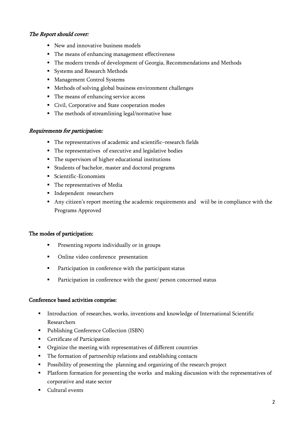## The Report should cover:

- New and innovative business models
- The means of enhancing management effectiveness
- The modern trends of development of Georgia, Recommendations and Methods
- Systems and Research Methods
- Management Control Systems
- Methods of solving global business environment challenges
- The means of enhancing service access
- Civil, Corporative and State cooperation modes
- The methods of streamlining legal/normative base

## Requirements for participation:

- The representatives of academic and scientific–research fields
- The representatives of executive and legislative bodies
- The supervisors of higher educational institutions
- Students of bachelor, master and doctoral programs
- Scientific-Economists
- The representatives of Media
- **·** Independent researchers
- Any citizen's report meeting the academic requirements and wiil be in compliance with the Programs Approved

### The modes of participation:

- Presenting reports individually or in groups
- Online video conference presentation
- Participation in conference with the participant status
- Participation in conference with the guest/ person concerned status

### Conference based activities comprise:

- **■** Introduction of researches, works, inventions and knowledge of International Scientific Researchers
- Publishing Conference Collection (ISBN)
- Certificate of Participation
- Orginize the meeting with representatives of different countries
- The formation of partnership relations and establishing contacts
- Possibility of presenting the planning and organizing of the research project
- Platform formation for presenting the works and making discussion with the representatives of corporative and state sector
- Cultural events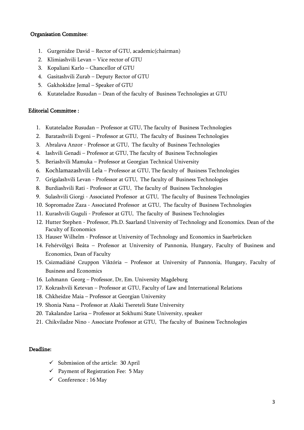### Organisation Commitee:

- 1. Gurgenidze David Rector of GTU, academic(chairman)
- 2. Klimiashvili Levan Vice rector of GTU
- 3. Kopaliani Karlo Chancellor of GTU
- 4. Gasitashvili Zurab Deputy Rector of GTU
- 5. Gakhokidze Jemal Speaker of GTU
- 6. Kutateladze Rusudan Dean of the faculty of Business Technologies at GTU

### Editorial Committee :

- 1. Kutateladze Rusudan Professor at GTU, The faculty of Business Technologies
- 2. Baratashvili Evgeni Professor at GTU, The faculty of Business Technologies
- 3. Abralava Anzor Professor at GTU, The faculty of Business Technologies
- 4. Iashvili Genadi Professor at GTU, The faculty of Business Technologies
- 5. Beriashvili Mamuka Professor at Georgian Technical University
- 6. Kochlamazashvili Lela Professor at GTU, The faculty of Business Technologies
- 7. Grigalashvili Levan Professor at GTU, The faculty of Business Technologies
- 8. Burdiashvili Rati Professor at GTU, The faculty of Business Technologies
- 9. Sulashvili Giorgi Associated Professor at GTU, The faculty of Business Technologies
- 10. Sopromadze Zaza Associated Professor at GTU, The faculty of Business Technologies
- 11. Kurashvili Guguli Professor at GTU, The faculty of Business Technologies
- 12. Hutter Stephen Professor, Ph.D. Saarland University of Technology and Economics. Dean of the Faculty of Economics
- 13. Hauser Wilhelm Professor at University of Technology and Economics in Saarbrücken
- 14. Fehérvölgyi Beáta Professor at University of Pannonia, Hungary, Faculty of Business and Economics, Dean of Faculty
- 15. Csizmadiáné Czuppon Viktória Professor at University of Pannonia, Hungary, Faculty of Business and Economics
- 16. Lohmann Georg Professor, Dr, Em. University Magdeburg
- 17. Kokrashvili Ketevan Professor at GTU, Faculty of Law and International Relations
- 18. Chkheidze Maia Professor at Georgian University
- 19. Shonia Nana Professor at Akaki Tsereteli State University
- 20. Takalandze Larisa Professor at Sokhumi State University, speaker
- 21. Chikviladze Nino Associate Professor at GTU, The faculty of Business Technologies

### Deadline:

- $\checkmark$  Submission of the article: 30 April
- $\checkmark$  Payment of Registration Fee: 5 May
- $\checkmark$  Conference : 16 May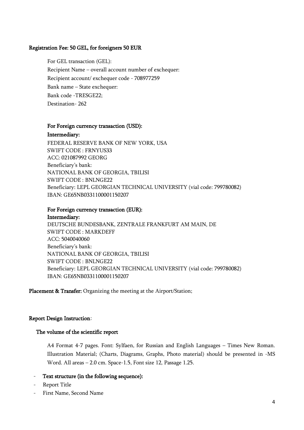### Registration Fee: 50 GEL, for foreigners 50 EUR

For GEL transaction (GEL): Recipient Name – overall account number of exchequer: Recipient account/ exchequer code - 708977259 Bank name – State exchequer: Bank code -TRESGE22; Destination- 262

#### For Foreign currency transaction (USD):

#### Intermediary:

FEDERAL RESERVE BANK OF NEW YORK, USA SWIFT CODE : FRNYUS33 ACC: 021087992 GEORG Beneficiary's bank: NATIONAL BANK OF GEORGIA, TBILISI SWIFT CODE : BNLNGE22 Beneficiary: LEPL GEORGIAN TECHNICAL UNIVERSITY (vial code: 799780082) IBAN: GE65NB0331100001150207

#### For Foreign currency transaction (EUR): Intermediary:

DEUTSCHE BUNDESBANK, ZENTRALE FRANKFURT AM MAIN, DE SWIFT CODE : MARKDEFF ACC: 5040040060 Beneficiary's bank: NATIONAL BANK OF GEORGIA, TBILISI SWIFT CODE : BNLNGE22 Beneficiary: LEPL GEORGIAN TECHNICAL UNIVERSITY (vial code: 799780082) IBAN: GE65NB0331100001150207

Placement & Transfer: Organizing the meeting at the Airport/Station;

### Report Design Instruction:

### The volume of the scientific report

A4 Format 4-7 pages. Font: Sylfaen, for Russian and English Languages – Times New Roman. Illustration Material; (Charts, Diagrams, Graphs, Photo material) should be presented in -MS Word. All areas – 2.0 cm. Space-1.5, Font size 12, Passage 1.25.

### Text structure (in the following sequence):

- Report Title
- First Name, Second Name